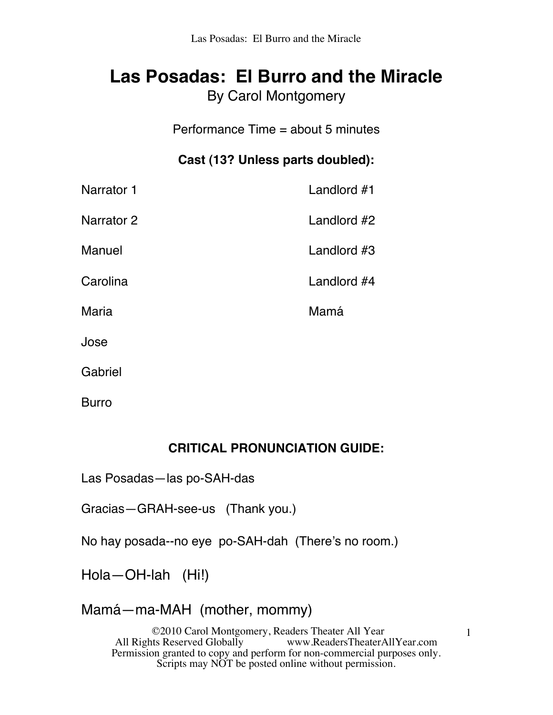## **Las Posadas: El Burro and the Miracle** By Carol Montgomery

Performance Time = about 5 minutes

### **Cast (13? Unless parts doubled):**

| Narrator 1   | Landlord #1 |
|--------------|-------------|
| Narrator 2   | Landlord #2 |
| Manuel       | Landlord #3 |
| Carolina     | Landlord #4 |
| <b>Maria</b> | Mamá        |
| Jose         |             |
| Gabriel      |             |

Burro

#### **CRITICAL PRONUNCIATION GUIDE:**

Las Posadas—las po-SAH-das

Gracias—GRAH-see-us (Thank you.)

No hay posada--no eye po-SAH-dah (There's no room.)

Hola—OH-lah (Hi!)

### Mamá—ma-MAH (mother, mommy)

©2010 Carol Montgomery, Readers Theater All Year www.ReadersTheaterAllYear.com Permission granted to copy and perform for non-commercial purposes only. Scripts may NOT be posted online without permission.

1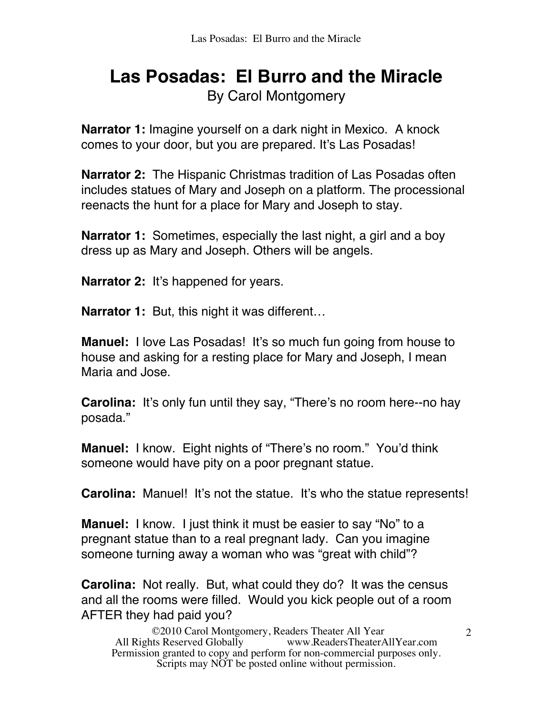# **Las Posadas: El Burro and the Miracle** By Carol Montgomery

**Narrator 1:** Imagine yourself on a dark night in Mexico. A knock comes to your door, but you are prepared. It's Las Posadas!

**Narrator 2:** The Hispanic Christmas tradition of Las Posadas often includes statues of Mary and Joseph on a platform. The processional reenacts the hunt for a place for Mary and Joseph to stay.

**Narrator 1:** Sometimes, especially the last night, a girl and a boy dress up as Mary and Joseph. Others will be angels.

**Narrator 2:** It's happened for years.

**Narrator 1:** But, this night it was different…

**Manuel:** I love Las Posadas! It's so much fun going from house to house and asking for a resting place for Mary and Joseph, I mean Maria and Jose.

**Carolina:** It's only fun until they say, "There's no room here--no hay posada."

**Manuel:** I know. Eight nights of "There's no room." You'd think someone would have pity on a poor pregnant statue.

**Carolina:** Manuel! It's not the statue. It's who the statue represents!

**Manuel:** I know. I just think it must be easier to say "No" to a pregnant statue than to a real pregnant lady. Can you imagine someone turning away a woman who was "great with child"?

**Carolina:** Not really. But, what could they do? It was the census and all the rooms were filled. Would you kick people out of a room AFTER they had paid you?

©2010 Carol Montgomery, Readers Theater All Year www.ReadersTheaterAllYear.com Permission granted to copy and perform for non-commercial purposes only. Scripts may NOT be posted online without permission.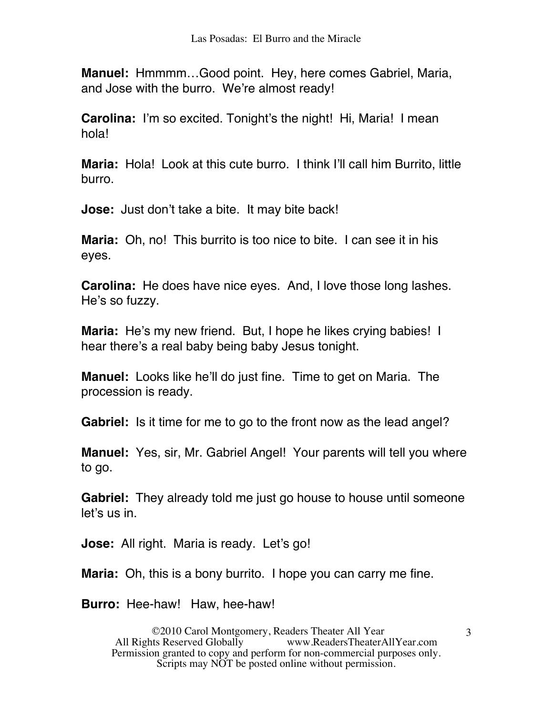**Manuel:** Hmmmm…Good point. Hey, here comes Gabriel, Maria, and Jose with the burro. We're almost ready!

**Carolina:** I'm so excited. Tonight's the night! Hi, Maria! I mean hola!

**Maria:** Hola! Look at this cute burro. I think I'll call him Burrito, little burro.

**Jose:** Just don't take a bite. It may bite back!

**Maria:** Oh, no! This burrito is too nice to bite. I can see it in his eyes.

**Carolina:** He does have nice eyes. And, I love those long lashes. He's so fuzzy.

**Maria:** He's my new friend. But, I hope he likes crying babies! I hear there's a real baby being baby Jesus tonight.

**Manuel:** Looks like he'll do just fine. Time to get on Maria. The procession is ready.

**Gabriel:** Is it time for me to go to the front now as the lead angel?

**Manuel:** Yes, sir, Mr. Gabriel Angel! Your parents will tell you where to go.

**Gabriel:** They already told me just go house to house until someone let's us in.

**Jose:** All right. Maria is ready. Let's go!

**Maria:** Oh, this is a bony burrito. I hope you can carry me fine.

**Burro:** Hee-haw! Haw, hee-haw!

©2010 Carol Montgomery, Readers Theater All Year www.ReadersTheaterAllYear.com Permission granted to copy and perform for non-commercial purposes only. Scripts may NOT be posted online without permission.

3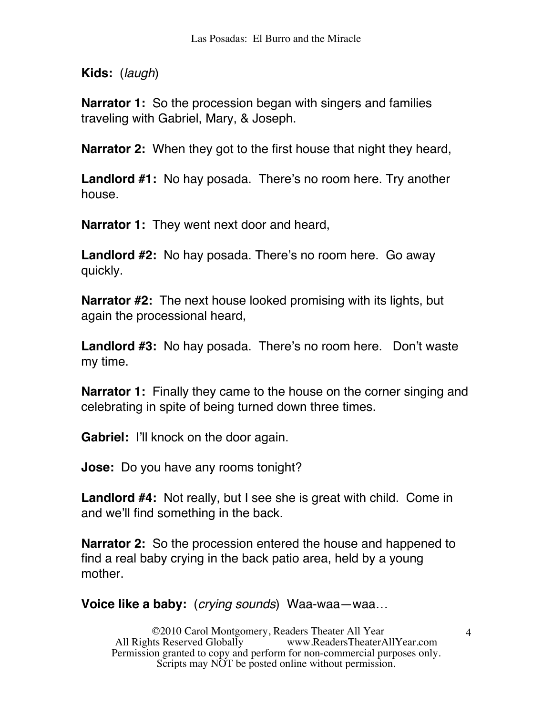**Kids:** (*laugh*)

**Narrator 1:** So the procession began with singers and families traveling with Gabriel, Mary, & Joseph.

**Narrator 2:** When they got to the first house that night they heard,

**Landlord #1:** No hay posada. There's no room here. Try another house.

**Narrator 1:** They went next door and heard,

**Landlord #2:** No hay posada. There's no room here. Go away quickly.

**Narrator #2:** The next house looked promising with its lights, but again the processional heard,

**Landlord #3:** No hay posada. There's no room here. Don't waste my time.

**Narrator 1:** Finally they came to the house on the corner singing and celebrating in spite of being turned down three times.

**Gabriel:** I'll knock on the door again.

**Jose:** Do you have any rooms tonight?

**Landlord #4:** Not really, but I see she is great with child. Come in and we'll find something in the back.

**Narrator 2:** So the procession entered the house and happened to find a real baby crying in the back patio area, held by a young mother.

**Voice like a baby:** (*crying sounds*) Waa-waa—waa…

©2010 Carol Montgomery, Readers Theater All Year www.ReadersTheaterAllYear.com Permission granted to copy and perform for non-commercial purposes only. Scripts may NOT be posted online without permission.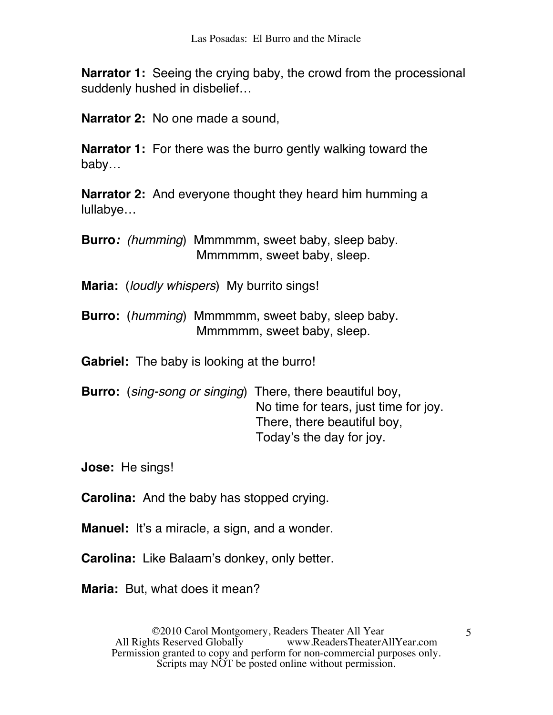**Narrator 1:** Seeing the crying baby, the crowd from the processional suddenly hushed in disbelief…

**Narrator 2:** No one made a sound,

**Narrator 1:** For there was the burro gently walking toward the baby…

**Narrator 2:** And everyone thought they heard him humming a lullabye…

**Burro***: (humming*) Mmmmmm, sweet baby, sleep baby. Mmmmmm, sweet baby, sleep.

**Maria:** (*loudly whispers*) My burrito sings!

**Burro:** (*humming*) Mmmmmm, sweet baby, sleep baby. Mmmmmm, sweet baby, sleep.

**Gabriel:** The baby is looking at the burro!

**Burro:** (*sing-song or singing*) There, there beautiful boy, No time for tears, just time for joy. There, there beautiful boy, Today's the day for joy.

**Jose:** He sings!

**Carolina:** And the baby has stopped crying.

**Manuel:** It's a miracle, a sign, and a wonder.

**Carolina:** Like Balaam's donkey, only better.

**Maria:** But, what does it mean?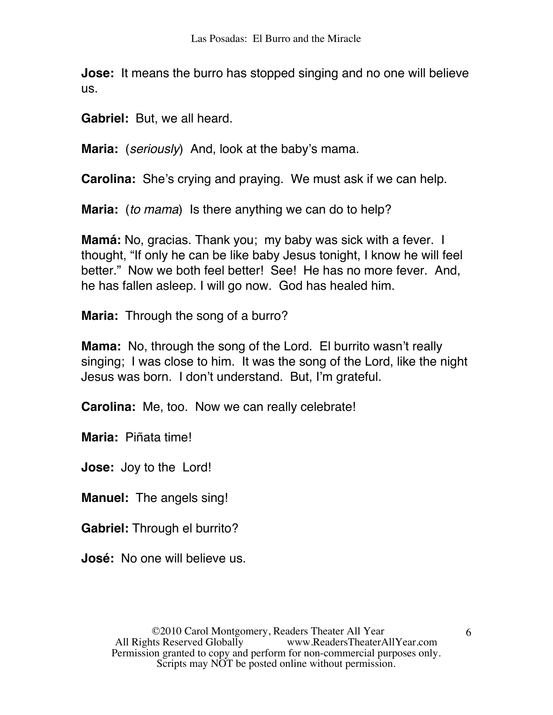**Jose:** It means the burro has stopped singing and no one will believe us.

**Gabriel:** But, we all heard.

**Maria:** (*seriously*) And, look at the baby's mama.

**Carolina:** She's crying and praying. We must ask if we can help.

**Maria:** (*to mama*) Is there anything we can do to help?

**Mamá:** No, gracias. Thank you; my baby was sick with a fever. I thought, "If only he can be like baby Jesus tonight, I know he will feel better." Now we both feel better! See! He has no more fever. And, he has fallen asleep. I will go now. God has healed him.

**Maria:** Through the song of a burro?

**Mama:** No, through the song of the Lord. El burrito wasn't really singing; I was close to him. It was the song of the Lord, like the night Jesus was born. I don't understand. But, I'm grateful.

**Carolina:** Me, too. Now we can really celebrate!

**Maria:** Piñata time!

**Jose:** Joy to the Lord!

**Manuel:** The angels sing!

**Gabriel:** Through el burrito?

**José:** No one will believe us.